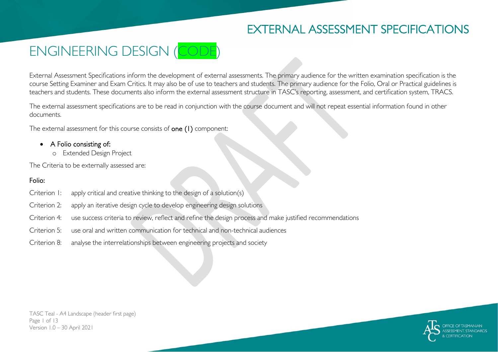# EXTERNAL ASSESSMENT SPECIFICATIONS

# ENGINEERING DESIGN (CODE)

External Assessment Specifications inform the development of external assessments. The primary audience for the written examination specification is the course Setting Examiner and Exam Critics. It may also be of use to teachers and students. The primary audience for the Folio, Oral or Practical guidelines is teachers and students. These documents also inform the external assessment structure in TASC's reporting, assessment, and certification system, TRACS.

The external assessment specifications are to be read in conjunction with the course document and will not repeat essential information found in other documents.

The external assessment for this course consists of one (1) component:

- A Folio consisting of:
	- o Extended Design Project

The Criteria to be externally assessed are:

### Folio:

- Criterion 1: apply critical and creative thinking to the design of a solution(s)
- Criterion 2: apply an iterative design cycle to develop engineering design solutions
- Criterion 4: use success criteria to review, reflect and refine the design process and make justified recommendations
- Criterion 5: use oral and written communication for technical and non-technical audiences
- Criterion 8: analyse the interrelationships between engineering projects and society

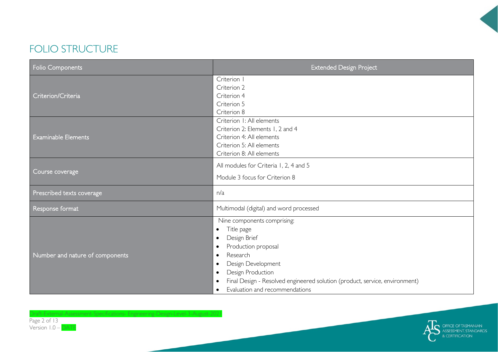# FOLIO STRUCTURE

Draft-External-Assessment-Specifications- Engineering-Design-Level-3-August-2021

Page 2 of 13 Version 1.0 – DATE

| Folio Components                | <b>Extended Design Project</b>                                                           |  |
|---------------------------------|------------------------------------------------------------------------------------------|--|
|                                 | Criterion                                                                                |  |
|                                 | Criterion 2                                                                              |  |
| Criterion/Criteria              | Criterion 4                                                                              |  |
|                                 | Criterion 5                                                                              |  |
|                                 | Criterion 8                                                                              |  |
|                                 | Criterion I: All elements                                                                |  |
|                                 | Criterion 2: Elements 1, 2 and 4                                                         |  |
| <b>Examinable Elements</b>      | Criterion 4: All elements                                                                |  |
|                                 | Criterion 5: All elements                                                                |  |
|                                 | Criterion 8: All elements                                                                |  |
| Course coverage                 | All modules for Criteria 1, 2, 4 and 5                                                   |  |
|                                 | Module 3 focus for Criterion 8                                                           |  |
| Prescribed texts coverage       | n/a                                                                                      |  |
| Response format                 | Multimodal (digital) and word processed                                                  |  |
|                                 | Nine components comprising:                                                              |  |
|                                 | Title page<br>$\bullet$                                                                  |  |
|                                 | Design Brief<br>$\bullet$                                                                |  |
|                                 | Production proposal<br>$\bullet$                                                         |  |
| Number and nature of components | Research<br>$\bullet$                                                                    |  |
|                                 | Design Development<br>$\bullet$                                                          |  |
|                                 | Design Production<br>$\bullet$                                                           |  |
|                                 | Final Design - Resolved engineered solution (product, service, environment)<br>$\bullet$ |  |
|                                 | Evaluation and recommendations<br>$\bullet$                                              |  |

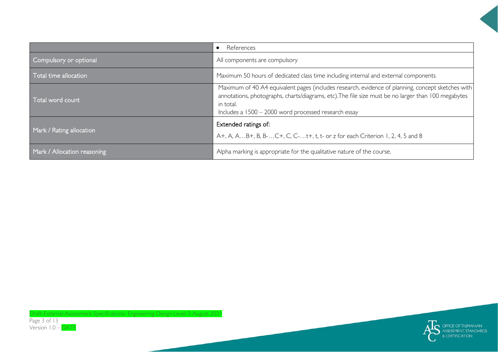|                             | References<br>$\bullet$                                                                                                                                                                                                                                                       |
|-----------------------------|-------------------------------------------------------------------------------------------------------------------------------------------------------------------------------------------------------------------------------------------------------------------------------|
| Compulsory or optional      | All components are compulsory                                                                                                                                                                                                                                                 |
| Total time allocation       | Maximum 50 hours of dedicated class time including internal and external components                                                                                                                                                                                           |
| Total word count            | Maximum of 40 A4 equivalent pages (includes research, evidence of planning, concept sketches with<br>annotations, photographs, charts/diagrams, etc). The file size must be no larger than 100 megabytes<br>in total.<br>Includes a 1500 - 2000 word processed research essay |
| Mark / Rating allocation    | Extended ratings of:<br>A+, A, AB+, B, B-C+, C, C-t+, t, t- or z for each Criterion 1, 2, 4, 5 and 8                                                                                                                                                                          |
| Mark / Allocation reasoning | Alpha marking is appropriate for the qualitative nature of the course.                                                                                                                                                                                                        |

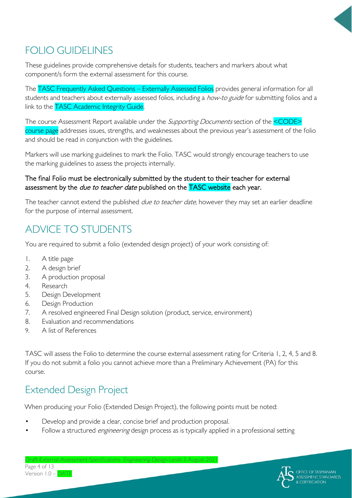

# FOLIO GUIDELINES

These guidelines provide comprehensive details for students, teachers and markers about what component/s form the external assessment for this course.

The TASC Frequently Asked Questions – Externally Assessed Folios provides general information for all students and teachers about externally assessed folios, including a how-to guide for submitting folios and a link to the **TASC Academic Integrity Guide.** 

The course Assessment Report available under the *Supporting Documents* section of the <CODE> course page addresses issues, strengths, and weaknesses about the previous year's assessment of the folio and should be read in conjunction with the guidelines.

Markers will use marking guidelines to mark the Folio. TASC would strongly encourage teachers to use the marking guidelines to assess the projects internally.

#### The final Folio must be electronically submitted by the student to their teacher for external assessment by the *due to teacher date* published on the **TASC website** each year.

The teacher cannot extend the published *due to teacher date*, however they may set an earlier deadline for the purpose of internal assessment.

# ADVICE TO STUDENTS

You are required to submit a folio (extended design project) of your work consisting of:

- 1. A title page
- 2. A design brief
- 3. A production proposal
- 4. Research
- 5. Design Development
- 6. Design Production
- 7. A resolved engineered Final Design solution (product, service, environment)
- 8. Evaluation and recommendations
- 9. A list of References

TASC will assess the Folio to determine the course external assessment rating for Criteria 1, 2, 4, 5 and 8. If you do not submit a folio you cannot achieve more than a Preliminary Achievement (PA) for this course.

# Extended Design Project

When producing your Folio (Extended Design Project), the following points must be noted:

Develop and provide a clear, concise brief and production proposal.

Draft-External-Assessment-Specifications- Engineering-Design-Level-3-August-2021

Follow a structured *engineering* design process as is typically applied in a professional setting

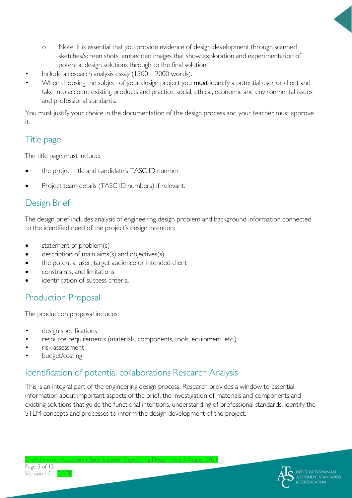- o Note: It is essential that you provide evidence of design development through scanned sketches/screen shots, embedded images that show exploration and experimentation of potential design solutions through to the final solution.
- Include a research analysis essay (1500 2000 words).
- When choosing the subject of your design project you must identify a potential user or client and take into account existing products and practice, social, ethical, economic and environmental issues and professional standards.

You must justify your choice in the documentation of the design process and your teacher must approve it.

## Title page

The title page must include:

- the project title and candidate's TASC ID number
- Project team details (TASC ID numbers) if relevant.

## Design Brief

The design brief includes analysis of engineering design problem and background information connected to the identified need of the project's design intention:

- statement of problem(s)
- description of main aims(s) and objectives(s)
- the potential user, target audience or intended client
- constraints, and limitations
- identification of success criteria.

## Production Proposal

The production proposal includes:

- design specifications
- resource requirements (materials, components, tools, equipment, etc.)
- risk assessment
- budget/costing

## Identification of potential collaborations Research Analysis

This is an integral part of the engineering design process. Research provides a window to essential information about important aspects of the brief, the investigation of materials and components and existing solutions that guide the functional intentions, understanding of professional standards, identify the STEM concepts and processes to inform the design development of the project.

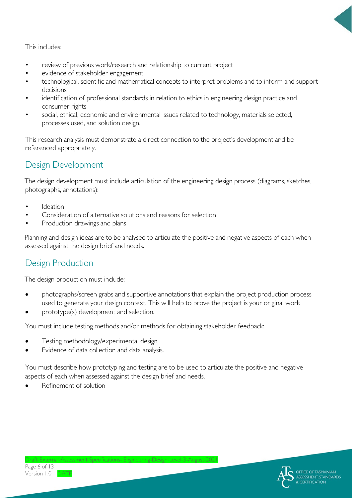

#### This includes:

- review of previous work/research and relationship to current project
- evidence of stakeholder engagement
- technological, scientific and mathematical concepts to interpret problems and to inform and support decisions
- identification of professional standards in relation to ethics in engineering design practice and consumer rights
- social, ethical, economic and environmental issues related to technology, materials selected, processes used, and solution design.

This research analysis must demonstrate a direct connection to the project's development and be referenced appropriately.

## Design Development

The design development must include articulation of the engineering design process (diagrams, sketches, photographs, annotations):

- **Ideation**
- Consideration of alternative solutions and reasons for selection
- Production drawings and plans

Planning and design ideas are to be analysed to articulate the positive and negative aspects of each when assessed against the design brief and needs.

## Design Production

The design production must include:

- photographs/screen grabs and supportive annotations that explain the project production process used to generate your design context. This will help to prove the project is your original work
- prototype(s) development and selection.

You must include testing methods and/or methods for obtaining stakeholder feedback:

- Testing methodology/experimental design
- Evidence of data collection and data analysis.

You must describe how prototyping and testing are to be used to articulate the positive and negative aspects of each when assessed against the design brief and needs.

• Refinement of solution



Draft-External-Assessmer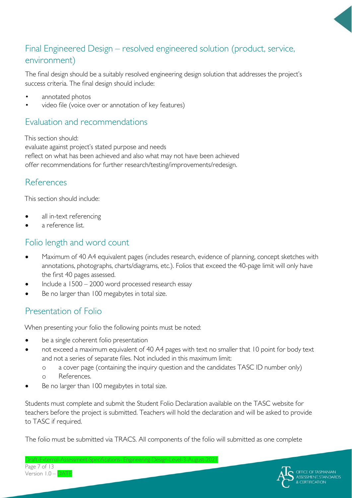# Final Engineered Design – resolved engineered solution (product, service, environment)

The final design should be a suitably resolved engineering design solution that addresses the project's success criteria. The final design should include:

- annotated photos
- video file (voice over or annotation of key features)

### Evaluation and recommendations

This section should: evaluate against project's stated purpose and needs reflect on what has been achieved and also what may not have been achieved offer recommendations for further research/testing/improvements/redesign.

## References

This section should include:

- all in-text referencing
- a reference list.

### Folio length and word count

- Maximum of 40 A4 equivalent pages (includes research, evidence of planning, concept sketches with annotations, photographs, charts/diagrams, etc.). Folios that exceed the 40-page limit will only have the first 40 pages assessed.
- Include a 1500 2000 word processed research essay
- Be no larger than 100 megabytes in total size.

## Presentation of Folio

When presenting your folio the following points must be noted:

- be a single coherent folio presentation
- not exceed a maximum equivalent of 40 A4 pages with text no smaller that 10 point for body text and not a series of separate files. Not included in this maximum limit:
	- o a cover page (containing the inquiry question and the candidates TASC ID number only)
	- o References.

Draft-Extern Page 7 of 13 Version 1.0 – DATE

Be no larger than 100 megabytes in total size.

Students must complete and submit the Student Folio Declaration available on the TASC website for teachers before the project is submitted. Teachers will hold the declaration and will be asked to provide to TASC if required.

The folio must be submitted via TRACS. All components of the folio will submitted as one complete

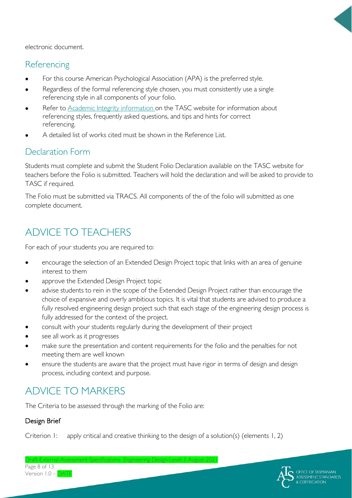

electronic document.

### **Referencing**

- For this course American Psychological Association (APA) is the preferred style.
- Regardless of the formal referencing style chosen, you must consistently use a single referencing style in all components of your folio.
- Refer to [Academic Integrity information o](https://www.tasc.tas.gov.au/students/academic-integrity/?highlight=academic%20integrity)n the TASC website for information about referencing styles, frequently asked questions, and tips and hints for correct referencing.
- A detailed list of works cited must be shown in the Reference List.

### Declaration Form

Students must complete and submit the Student Folio Declaration available on the TASC website for teachers before the Folio is submitted. Teachers will hold the declaration and will be asked to provide to TASC if required.

The Folio must be submitted via TRACS. All components of the of the folio will submitted as one complete document.

# ADVICE TO TEACHERS

For each of your students you are required to:

- encourage the selection of an Extended Design Project topic that links with an area of genuine interest to them
- approve the Extended Design Project topic
- advise students to rein in the scope of the Extended Design Project rather than encourage the choice of expansive and overly ambitious topics. It is vital that students are advised to produce a fully resolved engineering design project such that each stage of the engineering design process is fully addressed for the context of the project.
- consult with your students regularly during the development of their project
- see all work as it progresses
- make sure the presentation and content requirements for the folio and the penalties for not meeting them are well known
- ensure the students are aware that the project must have rigor in terms of design and design process, including context and purpose.

# ADVICE TO MARKERS

The Criteria to be assessed through the marking of the Folio are:

Draft-External-Assessment-Specifications- Engineering-Design-Level-3-August-2021

### Design Brief

Page 8 of 13 Version 1.0 – DATE

Criterion 1: apply critical and creative thinking to the design of a solution(s) (elements 1, 2)

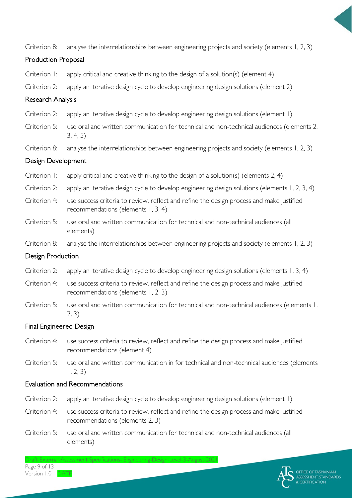Criterion 8: analyse the interrelationships between engineering projects and society (elements 1, 2, 3)

#### Production Proposal

Criterion 1: apply critical and creative thinking to the design of a solution(s) (element 4)

Criterion 2: apply an iterative design cycle to develop engineering design solutions (element 2)

### Research Analysis

- Criterion 2: apply an iterative design cycle to develop engineering design solutions (element 1)
- Criterion 5: use oral and written communication for technical and non-technical audiences (elements 2, 3, 4, 5)
- Criterion 8: analyse the interrelationships between engineering projects and society (elements 1, 2, 3)

### Design Development

- Criterion 1: apply critical and creative thinking to the design of a solution(s) (elements 2, 4)
- Criterion 2: apply an iterative design cycle to develop engineering design solutions (elements 1, 2, 3, 4)
- Criterion 4: use success criteria to review, reflect and refine the design process and make justified recommendations (elements 1, 3, 4)
- Criterion 5: use oral and written communication for technical and non-technical audiences (all elements)
- Criterion 8: analyse the interrelationships between engineering projects and society (elements 1, 2, 3)

### Design Production

- Criterion 2: apply an iterative design cycle to develop engineering design solutions (elements 1, 3, 4)
- Criterion 4: use success criteria to review, reflect and refine the design process and make justified recommendations (elements 1, 2, 3)
- Criterion 5: use oral and written communication for technical and non-technical audiences (elements 1, 2, 3)

### Final Engineered Design

- Criterion 4: use success criteria to review, reflect and refine the design process and make justified recommendations (element 4)
- Criterion 5: use oral and written communication in for technical and non-technical audiences (elements 1, 2, 3)

#### Evaluation and Recommendations

- Criterion 2: apply an iterative design cycle to develop engineering design solutions (element 1)
- Criterion 4: use success criteria to review, reflect and refine the design process and make justified recommendations (elements 2, 3)
- Criterion 5: use oral and written communication for technical and non-technical audiences (all elements)

Draft-External-Assessment-Specifications- Engineering-Design-Level-3-August-2021

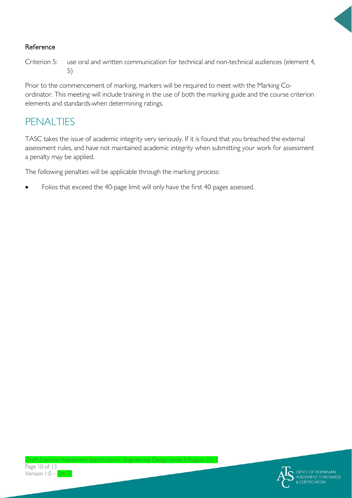

### Reference

Criterion 5: use oral and written communication for technical and non-technical audiences (element 4, 5)

Prior to the commencement of marking, markers will be required to meet with the Marking Coordinator. This meeting will include training in the use of both the marking guide and the course criterion elements and standards when determining ratings.

# **PENALTIES**

TASC takes the issue of academic integrity very seriously. If it is found that you breached the external assessment rules, and have not maintained academic integrity when submitting your work for assessment a penalty may be applied.

The following penalties will be applicable through the marking process:

Draft-External-Assessment-Specifications- Engineering-Design-Level-3-August-2021

Folios that exceed the 40-page limit will only have the first 40 pages assessed.

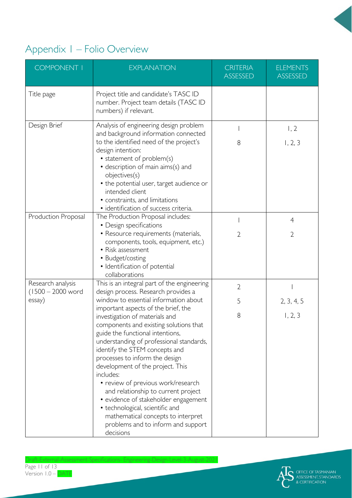# Appendix 1 – Folio Overview

| <b>COMPONENT I</b>                                 | <b>EXPLANATION</b>                                                                                                                                                                                                                                                                                                                                                                                                                                                                                                                                                                                                                                                                                   | <b>CRITERIA</b><br><b>ASSESSED</b> | <b>ELEMENTS</b><br><b>ASSESSED</b> |
|----------------------------------------------------|------------------------------------------------------------------------------------------------------------------------------------------------------------------------------------------------------------------------------------------------------------------------------------------------------------------------------------------------------------------------------------------------------------------------------------------------------------------------------------------------------------------------------------------------------------------------------------------------------------------------------------------------------------------------------------------------------|------------------------------------|------------------------------------|
| Title page                                         | Project title and candidate's TASC ID<br>number. Project team details (TASC ID<br>numbers) if relevant.                                                                                                                                                                                                                                                                                                                                                                                                                                                                                                                                                                                              |                                    |                                    |
| Design Brief                                       | Analysis of engineering design problem<br>and background information connected<br>to the identified need of the project's<br>design intention:<br>• statement of problem(s)<br>· description of main aims(s) and<br>objectives(s)<br>• the potential user, target audience or<br>intended client<br>· constraints, and limitations<br>· identification of success criteria.                                                                                                                                                                                                                                                                                                                          | 8                                  | 1, 2<br>1, 2, 3                    |
| Production Proposal                                | The Production Proposal includes:<br>• Design specifications<br>• Resource requirements (materials,<br>components, tools, equipment, etc.)<br>• Risk assessment<br>• Budget/costing<br>· Identification of potential<br>collaborations                                                                                                                                                                                                                                                                                                                                                                                                                                                               | $\overline{2}$                     | $\overline{4}$<br>$\overline{2}$   |
| Research analysis<br>$(1500 - 2000$ word<br>essay) | This is an integral part of the engineering<br>design process. Research provides a<br>window to essential information about<br>important aspects of the brief, the<br>investigation of materials and<br>components and existing solutions that<br>guide the functional intentions,<br>understanding of professional standards,<br>identify the STEM concepts and<br>processes to inform the design<br>development of the project. This<br>includes:<br>• review of previous work/research<br>and relationship to current project<br>· evidence of stakeholder engagement<br>• technological, scientific and<br>mathematical concepts to interpret<br>problems and to inform and support<br>decisions | $\overline{2}$<br>5<br>8           | 2, 3, 4, 5<br>1, 2, 3              |



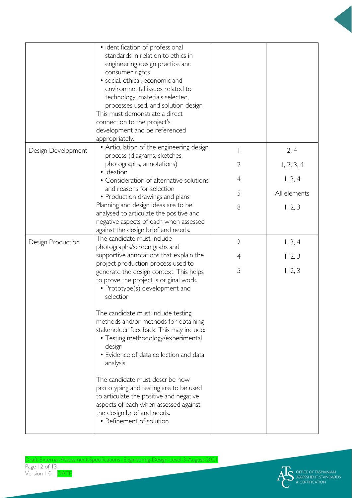|                    | · identification of professional         |                |              |
|--------------------|------------------------------------------|----------------|--------------|
|                    | standards in relation to ethics in       |                |              |
|                    | engineering design practice and          |                |              |
|                    | consumer rights                          |                |              |
|                    | · social, ethical, economic and          |                |              |
|                    | environmental issues related to          |                |              |
|                    | technology, materials selected,          |                |              |
|                    | processes used, and solution design      |                |              |
|                    | This must demonstrate a direct           |                |              |
|                    | connection to the project's              |                |              |
|                    | development and be referenced            |                |              |
|                    | appropriately.                           |                |              |
|                    | • Articulation of the engineering design |                |              |
| Design Development | process (diagrams, sketches,             |                | 2, 4         |
|                    | photographs, annotations)                |                |              |
|                    | · Ideation                               | 2              | 1, 2, 3, 4   |
|                    | • Consideration of alternative solutions | 4              | 1, 3, 4      |
|                    | and reasons for selection                |                |              |
|                    | • Production drawings and plans          | 5              | All elements |
|                    |                                          |                |              |
|                    | Planning and design ideas are to be      | 8              | 1, 2, 3      |
|                    | analysed to articulate the positive and  |                |              |
|                    | negative aspects of each when assessed   |                |              |
|                    | against the design brief and needs.      |                |              |
| Design Production  | The candidate must include               | $\overline{2}$ | 1, 3, 4      |
|                    | photographs/screen grabs and             |                |              |
|                    | supportive annotations that explain the  | 4              | 1, 2, 3      |
|                    | project production process used to       |                |              |
|                    | generate the design context. This helps  | 5              | 1, 2, 3      |
|                    | to prove the project is original work.   |                |              |
|                    | • Prototype(s) development and           |                |              |
|                    | selection                                |                |              |
|                    |                                          |                |              |
|                    | The candidate must include testing       |                |              |
|                    | methods and/or methods for obtaining     |                |              |
|                    | stakeholder feedback. This may include:  |                |              |
|                    | • Testing methodology/experimental       |                |              |
|                    | design                                   |                |              |
|                    | • Evidence of data collection and data   |                |              |
|                    | analysis                                 |                |              |
|                    |                                          |                |              |
|                    | The candidate must describe how          |                |              |
|                    | prototyping and testing are to be used   |                |              |
|                    | to articulate the positive and negative  |                |              |
|                    | aspects of each when assessed against    |                |              |
|                    | the design brief and needs.              |                |              |
|                    | • Refinement of solution                 |                |              |
|                    |                                          |                |              |
|                    |                                          |                |              |